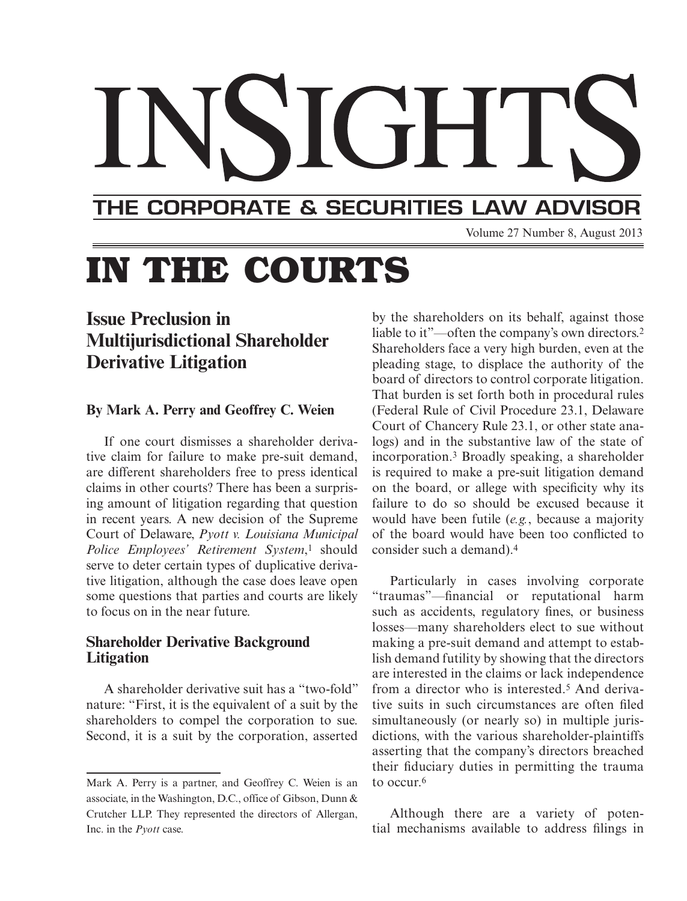## THE CORPORATE & SECURITIES LAW ADVISOR

Volume 27 Number 8, August 2013

# **IN THE COURTS**

# **Issue Preclusion in Multijurisdictional Shareholder Derivative Litigation**

#### **By Mark A. Perry and Geoffrey C. Weien**

 If one court dismisses a shareholder derivative claim for failure to make pre-suit demand, are different shareholders free to press identical claims in other courts? There has been a surprising amount of litigation regarding that question in recent years. A new decision of the Supreme Court of Delaware, *Pyott v. Louisiana Municipal Police Employees' Retirement System*,<sup>1</sup> should serve to deter certain types of duplicative derivative litigation, although the case does leave open some questions that parties and courts are likely to focus on in the near future.

#### **Shareholder Derivative Background Litigation**

 A shareholder derivative suit has a "two-fold" nature: "First, it is the equivalent of a suit by the shareholders to compel the corporation to sue. Second, it is a suit by the corporation, asserted

by the shareholders on its behalf, against those liable to it"—often the company's own directors.<sup>2</sup> Shareholders face a very high burden, even at the pleading stage, to displace the authority of the board of directors to control corporate litigation. That burden is set forth both in procedural rules (Federal Rule of Civil Procedure 23.1, Delaware Court of Chancery Rule 23.1, or other state analogs) and in the substantive law of the state of incorporation.<sup>3</sup> Broadly speaking, a shareholder is required to make a pre-suit litigation demand on the board, or allege with specificity why its failure to do so should be excused because it would have been futile (*e.g.*, because a majority of the board would have been too conflicted to consider such a demand). 4

 Particularly in cases involving corporate "traumas"—financial or reputational harm such as accidents, regulatory fines, or business losses—many shareholders elect to sue without making a pre-suit demand and attempt to establish demand futility by showing that the directors are interested in the claims or lack independence from a director who is interested.<sup>5</sup> And derivative suits in such circumstances are often filed simultaneously (or nearly so) in multiple jurisdictions, with the various shareholder-plaintiffs asserting that the company's directors breached their fiduciary duties in permitting the trauma to occur. 6

 Although there are a variety of potential mechanisms available to address filings in

Mark A. Perry is a partner, and Geoffrey C. Weien is an associate, in the Washington, D.C., office of Gibson, Dunn & Crutcher LLP. They represented the directors of Allergan, Inc. in the *Pyott* case.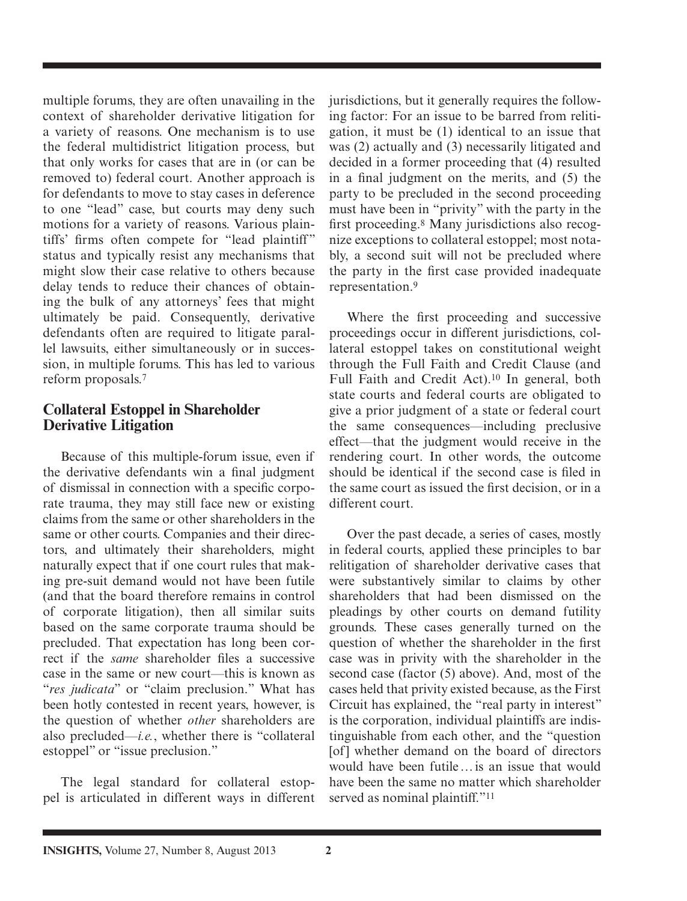multiple forums, they are often unavailing in the context of shareholder derivative litigation for a variety of reasons. One mechanism is to use the federal multidistrict litigation process, but that only works for cases that are in (or can be removed to) federal court. Another approach is for defendants to move to stay cases in deference to one "lead" case, but courts may deny such motions for a variety of reasons. Various plaintiffs' firms often compete for "lead plaintiff" status and typically resist any mechanisms that might slow their case relative to others because delay tends to reduce their chances of obtaining the bulk of any attorneys' fees that might ultimately be paid. Consequently, derivative defendants often are required to litigate parallel lawsuits, either simultaneously or in succession, in multiple forums. This has led to various reform proposals.<sup>7</sup>

### **Collateral Estoppel in Shareholder Derivative Litigation**

 Because of this multiple-forum issue, even if the derivative defendants win a final judgment of dismissal in connection with a specific corporate trauma, they may still face new or existing claims from the same or other shareholders in the same or other courts. Companies and their directors, and ultimately their shareholders, might naturally expect that if one court rules that making pre-suit demand would not have been futile (and that the board therefore remains in control of corporate litigation), then all similar suits based on the same corporate trauma should be precluded. That expectation has long been correct if the *same* shareholder files a successive case in the same or new court—this is known as "*res judicata*" or "claim preclusion." What has been hotly contested in recent years, however, is the question of whether *other* shareholders are also precluded—*i.e.*, whether there is "collateral estoppel" or "issue preclusion."

 The legal standard for collateral estoppel is articulated in different ways in different jurisdictions, but it generally requires the following factor: For an issue to be barred from relitigation, it must be (1) identical to an issue that was (2) actually and (3) necessarily litigated and decided in a former proceeding that (4) resulted in a final judgment on the merits, and  $(5)$  the party to be precluded in the second proceeding must have been in "privity" with the party in the first proceeding.<sup>8</sup> Many jurisdictions also recognize exceptions to collateral estoppel; most notably, a second suit will not be precluded where the party in the first case provided inadequate representation. 9

Where the first proceeding and successive proceedings occur in different jurisdictions, collateral estoppel takes on constitutional weight through the Full Faith and Credit Clause (and Full Faith and Credit Act).<sup>10</sup> In general, both state courts and federal courts are obligated to give a prior judgment of a state or federal court the same consequences—including preclusive effect—that the judgment would receive in the rendering court. In other words, the outcome should be identical if the second case is filed in the same court as issued the first decision, or in a different court.

 Over the past decade, a series of cases, mostly in federal courts, applied these principles to bar relitigation of shareholder derivative cases that were substantively similar to claims by other shareholders that had been dismissed on the pleadings by other courts on demand futility grounds. These cases generally turned on the question of whether the shareholder in the first case was in privity with the shareholder in the second case (factor (5) above). And, most of the cases held that privity existed because, as the First Circuit has explained, the "real party in interest" is the corporation, individual plaintiffs are indistinguishable from each other, and the "question [of] whether demand on the board of directors would have been futile … is an issue that would have been the same no matter which shareholder served as nominal plaintiff."<sup>11</sup>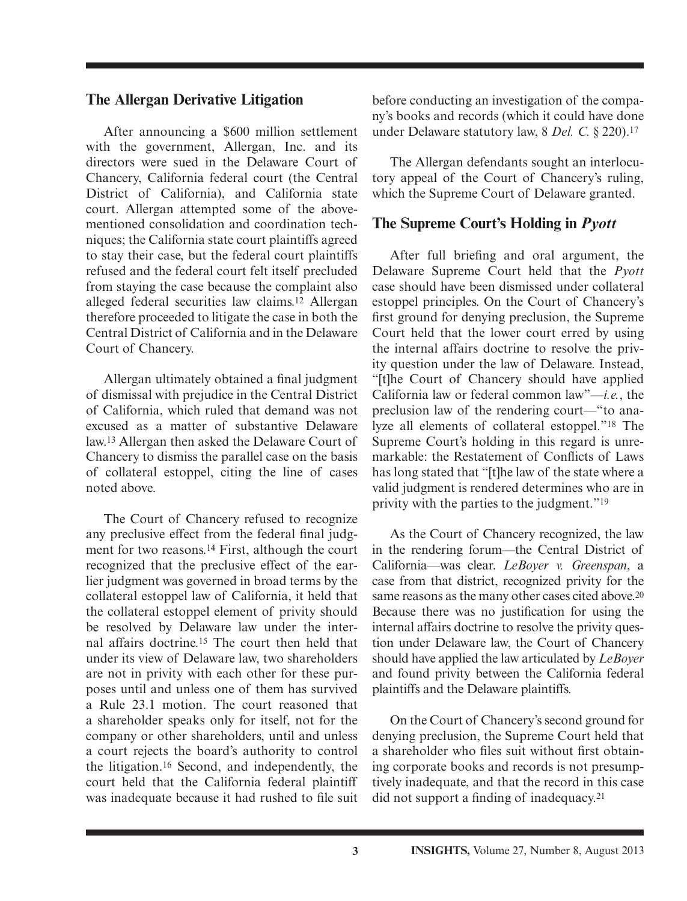#### **The Allergan Derivative Litigation**

 After announcing a \$600 million settlement with the government, Allergan, Inc. and its directors were sued in the Delaware Court of Chancery, California federal court (the Central District of California), and California state court. Allergan attempted some of the abovementioned consolidation and coordination techniques; the California state court plaintiffs agreed to stay their case, but the federal court plaintiffs refused and the federal court felt itself precluded from staying the case because the complaint also alleged federal securities law claims. 12 Allergan therefore proceeded to litigate the case in both the Central District of California and in the Delaware Court of Chancery.

Allergan ultimately obtained a final judgment of dismissal with prejudice in the Central District of California, which ruled that demand was not excused as a matter of substantive Delaware law. 13 Allergan then asked the Delaware Court of Chancery to dismiss the parallel case on the basis of collateral estoppel, citing the line of cases noted above.

 The Court of Chancery refused to recognize any preclusive effect from the federal final judgment for two reasons. 14 First, although the court recognized that the preclusive effect of the earlier judgment was governed in broad terms by the collateral estoppel law of California, it held that the collateral estoppel element of privity should be resolved by Delaware law under the internal affairs doctrine. 15 The court then held that under its view of Delaware law, two shareholders are not in privity with each other for these purposes until and unless one of them has survived a Rule 23.1 motion. The court reasoned that a shareholder speaks only for itself, not for the company or other shareholders, until and unless a court rejects the board's authority to control the litigation. 16 Second, and independently, the court held that the California federal plaintiff was inadequate because it had rushed to file suit

before conducting an investigation of the company's books and records (which it could have done under Delaware statutory law, 8 *Del. C.* § 220). 17

 The Allergan defendants sought an interlocutory appeal of the Court of Chancery's ruling, which the Supreme Court of Delaware granted.

#### **The Supreme Court's Holding in** *Pyott*

After full briefing and oral argument, the Delaware Supreme Court held that the *Pyott* case should have been dismissed under collateral estoppel principles. On the Court of Chancery's first ground for denying preclusion, the Supreme Court held that the lower court erred by using the internal affairs doctrine to resolve the privity question under the law of Delaware. Instead, "[t]he Court of Chancery should have applied California law or federal common law" $-i.e.,$  the preclusion law of the rendering court—"to analyze all elements of collateral estoppel."<sup>18</sup> The Supreme Court's holding in this regard is unremarkable: the Restatement of Conflicts of Laws has long stated that "[t]he law of the state where a valid judgment is rendered determines who are in privity with the parties to the judgment." 19

 As the Court of Chancery recognized, the law in the rendering forum—the Central District of California—was clear. *LeBoyer v. Greenspan*, a case from that district, recognized privity for the same reasons as the many other cases cited above.<sup>20</sup> Because there was no justification for using the internal affairs doctrine to resolve the privity question under Delaware law, the Court of Chancery should have applied the law articulated by *LeBoyer* and found privity between the California federal plaintiffs and the Delaware plaintiffs.

 On the Court of Chancery's second ground for denying preclusion, the Supreme Court held that a shareholder who files suit without first obtaining corporate books and records is not presumptively inadequate, and that the record in this case did not support a finding of inadequacy.<sup>21</sup>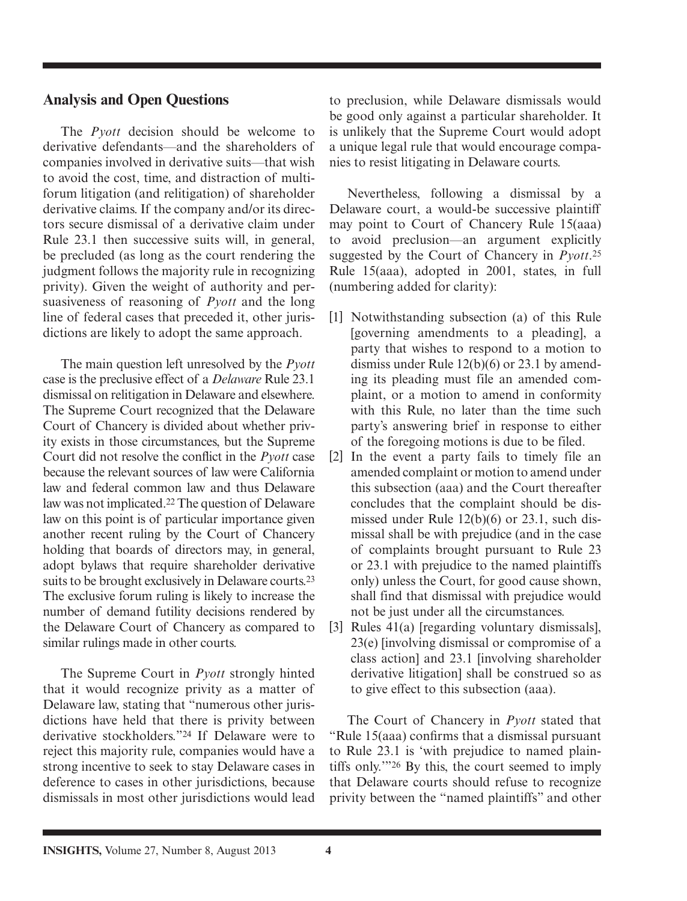### **Analysis and Open Questions**

 The *Pyott* decision should be welcome to derivative defendants—and the shareholders of companies involved in derivative suits—that wish to avoid the cost, time, and distraction of multiforum litigation (and relitigation) of shareholder derivative claims. If the company and/or its directors secure dismissal of a derivative claim under Rule 23.1 then successive suits will, in general, be precluded (as long as the court rendering the judgment follows the majority rule in recognizing privity). Given the weight of authority and persuasiveness of reasoning of *Pyott* and the long line of federal cases that preceded it, other jurisdictions are likely to adopt the same approach.

 The main question left unresolved by the *Pyott* case is the preclusive effect of a *Delaware* Rule 23.1 dismissal on relitigation in Delaware and elsewhere. The Supreme Court recognized that the Delaware Court of Chancery is divided about whether privity exists in those circumstances, but the Supreme Court did not resolve the conflict in the *Pyott* case because the relevant sources of law were California law and federal common law and thus Delaware law was not implicated. 22 The question of Delaware law on this point is of particular importance given another recent ruling by the Court of Chancery holding that boards of directors may, in general, adopt bylaws that require shareholder derivative suits to be brought exclusively in Delaware courts.<sup>23</sup> The exclusive forum ruling is likely to increase the number of demand futility decisions rendered by the Delaware Court of Chancery as compared to similar rulings made in other courts.

 The Supreme Court in *Pyott* strongly hinted that it would recognize privity as a matter of Delaware law, stating that "numerous other jurisdictions have held that there is privity between derivative stockholders."<sup>24</sup> If Delaware were to reject this majority rule, companies would have a strong incentive to seek to stay Delaware cases in deference to cases in other jurisdictions, because dismissals in most other jurisdictions would lead to preclusion, while Delaware dismissals would be good only against a particular shareholder. It is unlikely that the Supreme Court would adopt a unique legal rule that would encourage companies to resist litigating in Delaware courts.

 Nevertheless, following a dismissal by a Delaware court, a would-be successive plaintiff may point to Court of Chancery Rule 15(aaa) to avoid preclusion—an argument explicitly suggested by the Court of Chancery in *Pyott*.<sup>25</sup> Rule 15(aaa), adopted in 2001, states, in full (numbering added for clarity):

- [1] Notwithstanding subsection (a) of this Rule [governing amendments to a pleading], a party that wishes to respond to a motion to dismiss under Rule 12(b)(6) or 23.1 by amending its pleading must file an amended complaint, or a motion to amend in conformity with this Rule, no later than the time such party's answering brief in response to either of the foregoing motions is due to be filed.
- [2] In the event a party fails to timely file an amended complaint or motion to amend under this subsection (aaa) and the Court thereafter concludes that the complaint should be dismissed under Rule 12(b)(6) or 23.1, such dismissal shall be with prejudice (and in the case of complaints brought pursuant to Rule 23 or 23.1 with prejudice to the named plaintiffs only) unless the Court, for good cause shown, shall find that dismissal with prejudice would not be just under all the circumstances.
- [3] Rules 41(a) [regarding voluntary dismissals], 23(e) [involving dismissal or compromise of a class action] and 23.1 [involving shareholder derivative litigation] shall be construed so as to give effect to this subsection (aaa).

 The Court of Chancery in *Pyott* stated that "Rule 15(aaa) confirms that a dismissal pursuant to Rule 23.1 is 'with prejudice to named plaintiffs only."<sup>26</sup> By this, the court seemed to imply that Delaware courts should refuse to recognize privity between the "named plaintiffs" and other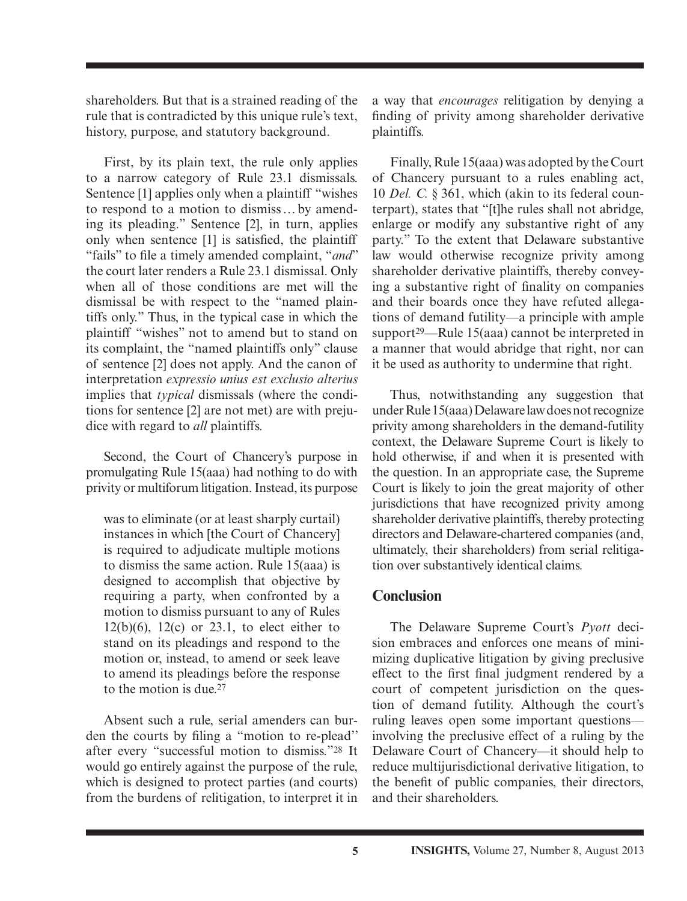shareholders. But that is a strained reading of the rule that is contradicted by this unique rule's text, history, purpose, and statutory background.

 First, by its plain text, the rule only applies to a narrow category of Rule 23.1 dismissals. Sentence [1] applies only when a plaintiff "wishes to respond to a motion to dismiss … by amending its pleading." Sentence [2], in turn, applies only when sentence [1] is satisfied, the plaintiff "fails" to file a timely amended complaint, "*and*" the court later renders a Rule 23.1 dismissal. Only when all of those conditions are met will the dismissal be with respect to the "named plaintiffs only." Thus, in the typical case in which the plaintiff "wishes" not to amend but to stand on its complaint, the "named plaintiffs only" clause of sentence [2] does not apply. And the canon of interpretation *expressio unius est exclusio alterius* implies that *typical* dismissals (where the conditions for sentence [2] are not met) are with prejudice with regard to *all* plaintiffs.

 Second, the Court of Chancery's purpose in promulgating Rule 15(aaa) had nothing to do with privity or multiforum litigation. Instead, its purpose

was to eliminate (or at least sharply curtail) instances in which [the Court of Chancery] is required to adjudicate multiple motions to dismiss the same action. Rule 15(aaa) is designed to accomplish that objective by requiring a party, when confronted by a motion to dismiss pursuant to any of Rules  $12(b)(6)$ ,  $12(c)$  or  $23.1$ , to elect either to stand on its pleadings and respond to the motion or, instead, to amend or seek leave to amend its pleadings before the response to the motion is due. 27

Absent such a rule, serial amenders can burden the courts by filing a "motion to re-plead" after every "successful motion to dismiss."28 It would go entirely against the purpose of the rule, which is designed to protect parties (and courts) from the burdens of relitigation, to interpret it in a way that *encourages* relitigation by denying a finding of privity among shareholder derivative plaintiffs.

 Finally, Rule 15(aaa) was adopted by the Court of Chancery pursuant to a rules enabling act, 10 *Del. C.* § 361, which (akin to its federal counterpart), states that "[t]he rules shall not abridge, enlarge or modify any substantive right of any party." To the extent that Delaware substantive law would otherwise recognize privity among shareholder derivative plaintiffs, thereby conveying a substantive right of finality on companies and their boards once they have refuted allegations of demand futility—a principle with ample support<sup>29</sup>—Rule 15(aaa) cannot be interpreted in a manner that would abridge that right, nor can it be used as authority to undermine that right.

 Thus, notwithstanding any suggestion that under Rule 15(aaa) Delaware law does not recognize privity among shareholders in the demand-futility context, the Delaware Supreme Court is likely to hold otherwise, if and when it is presented with the question. In an appropriate case, the Supreme Court is likely to join the great majority of other jurisdictions that have recognized privity among shareholder derivative plaintiffs, thereby protecting directors and Delaware-chartered companies (and, ultimately, their shareholders) from serial relitigation over substantively identical claims.

### **Conclusion**

 The Delaware Supreme Court's *Pyott* decision embraces and enforces one means of minimizing duplicative litigation by giving preclusive effect to the first final judgment rendered by a court of competent jurisdiction on the question of demand futility. Although the court's ruling leaves open some important questions involving the preclusive effect of a ruling by the Delaware Court of Chancery—it should help to reduce multijurisdictional derivative litigation, to the benefit of public companies, their directors, and their shareholders.